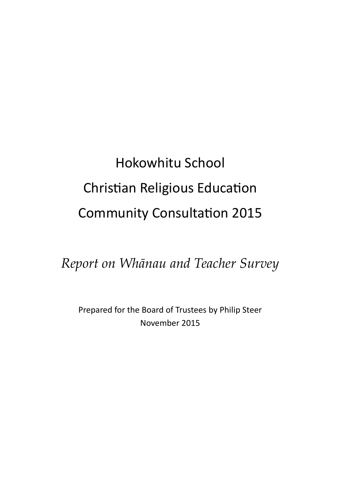# Hokowhitu School Christian Religious Education Community Consultation 2015

*Report on Whānau and Teacher Survey*

Prepared for the Board of Trustees by Philip Steer November 2015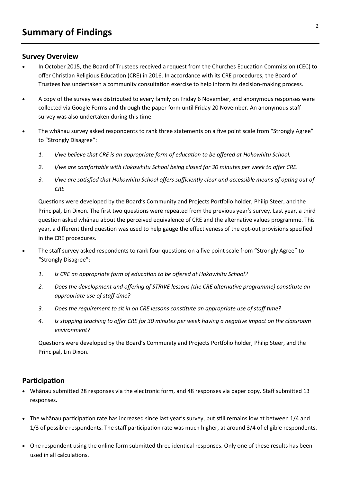## **Survey Overview**

- In October 2015, the Board of Trustees received a request from the Churches Education Commission (CEC) to offer Christian Religious Education (CRE) in 2016. In accordance with its CRE procedures, the Board of Trustees has undertaken a community consultation exercise to help inform its decision-making process.
- A copy of the survey was distributed to every family on Friday 6 November, and anonymous responses were collected via Google Forms and through the paper form until Friday 20 November. An anonymous staff survey was also undertaken during this time.
- The whānau survey asked respondents to rank three statements on a five point scale from "Strongly Agree" to "Strongly Disagree":
	- *1. I/we believe that CRE is an appropriate form of education to be offered at Hokowhitu School.*
	- *2. I/we are comfortable with Hokowhitu School being closed for 30 minutes per week to offer CRE.*
	- *3. I/we are satisfied that Hokowhitu School offers sufficiently clear and accessible means of opting out of CRE*

Questions were developed by the Board's Community and Projects Portfolio holder, Philip Steer, and the Principal, Lin Dixon. The first two questions were repeated from the previous year's survey. Last year, a third question asked whānau about the perceived equivalence of CRE and the alternative values programme. This year, a different third question was used to help gauge the effectiveness of the opt-out provisions specified in the CRE procedures.

- The staff survey asked respondents to rank four questions on a five point scale from "Strongly Agree" to "Strongly Disagree":
	- *1. Is CRE an appropriate form of education to be offered at Hokowhitu School?*
	- *2. Does the development and offering of STRIVE lessons (the CRE alternative programme) constitute an appropriate use of staff time?*
	- *3. Does the requirement to sit in on CRE lessons constitute an appropriate use of staff time?*
	- *4. Is stopping teaching to offer CRE for 30 minutes per week having a negative impact on the classroom environment?*

Questions were developed by the Board's Community and Projects Portfolio holder, Philip Steer, and the Principal, Lin Dixon.

## **Participation**

- Whānau submitted 28 responses via the electronic form, and 48 responses via paper copy. Staff submitted 13 responses.
- The whānau participation rate has increased since last year's survey, but still remains low at between 1/4 and 1/3 of possible respondents. The staff participation rate was much higher, at around 3/4 of eligible respondents.
- One respondent using the online form submitted three identical responses. Only one of these results has been used in all calculations.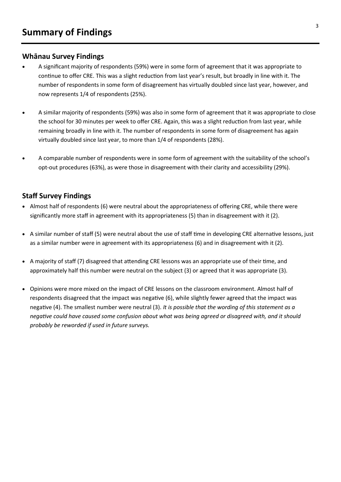## **Whānau Survey Findings**

- A significant majority of respondents (59%) were in some form of agreement that it was appropriate to continue to offer CRE. This was a slight reduction from last year's result, but broadly in line with it. The number of respondents in some form of disagreement has virtually doubled since last year, however, and now represents 1/4 of respondents (25%).
- A similar majority of respondents (59%) was also in some form of agreement that it was appropriate to close the school for 30 minutes per week to offer CRE. Again, this was a slight reduction from last year, while remaining broadly in line with it. The number of respondents in some form of disagreement has again virtually doubled since last year, to more than 1/4 of respondents (28%).
- A comparable number of respondents were in some form of agreement with the suitability of the school's opt-out procedures (63%), as were those in disagreement with their clarity and accessibility (29%).

## **Staff Survey Findings**

- Almost half of respondents (6) were neutral about the appropriateness of offering CRE, while there were significantly more staff in agreement with its appropriateness (5) than in disagreement with it (2).
- A similar number of staff (5) were neutral about the use of staff time in developing CRE alternative lessons, just as a similar number were in agreement with its appropriateness (6) and in disagreement with it (2).
- A majority of staff (7) disagreed that attending CRE lessons was an appropriate use of their time, and approximately half this number were neutral on the subject (3) or agreed that it was appropriate (3).
- Opinions were more mixed on the impact of CRE lessons on the classroom environment. Almost half of respondents disagreed that the impact was negative (6), while slightly fewer agreed that the impact was negative (4). The smallest number were neutral (3). *It is possible that the wording of this statement as a negative could have caused some confusion about what was being agreed or disagreed with, and it should probably be reworded if used in future surveys.*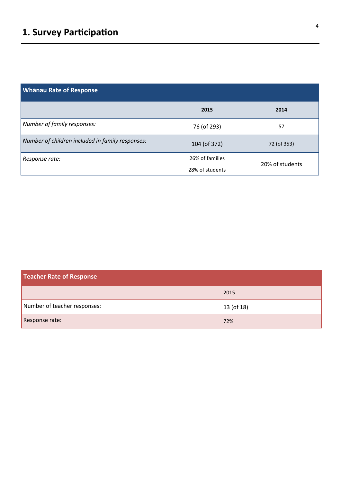| <b>Whānau Rate of Response</b>                   |                 |                 |
|--------------------------------------------------|-----------------|-----------------|
|                                                  | 2015            | 2014            |
| Number of family responses:                      | 76 (of 293)     | 57              |
| Number of children included in family responses: | 104 (of 372)    | 72 (of 353)     |
| Response rate:                                   | 26% of families | 20% of students |
|                                                  | 28% of students |                 |

| <b>Teacher Rate of Response</b> |            |  |
|---------------------------------|------------|--|
|                                 | 2015       |  |
| Number of teacher responses:    | 13 (of 18) |  |
| Response rate:                  | 72%        |  |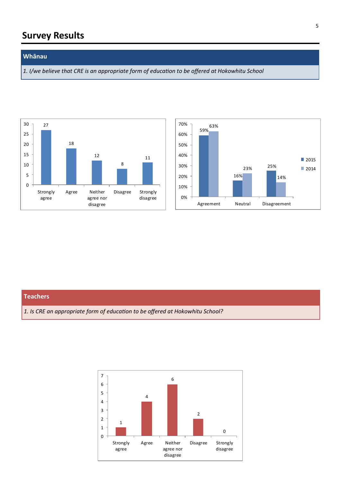#### **Whānau**

*1. I/we believe that CRE is an appropriate form of education to be offered at Hokowhitu School*





#### **Teachers**

*1. Is CRE an appropriate form of education to be offered at Hokowhitu School?*

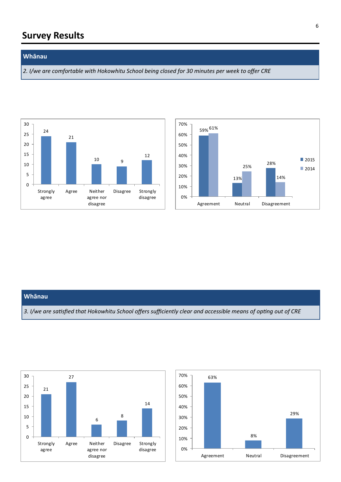#### **Whānau**

*2. I/we are comfortable with Hokowhitu School being closed for 30 minutes per week to offer CRE*





#### **Whānau**

*3. I/we are satisfied that Hokowhitu School offers sufficiently clear and accessible means of opting out of CRE*



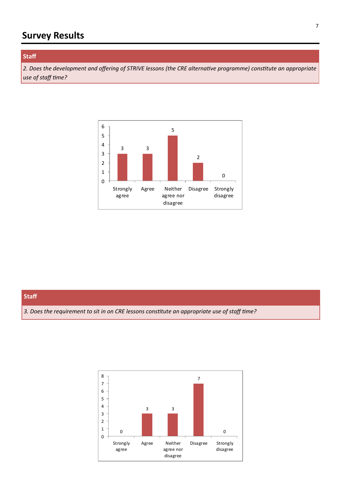### **Staff**

*2. Does the development and offering of STRIVE lessons (the CRE alternative programme) constitute an appropriate use of staff time?*



#### **Staff**

*3. Does the requirement to sit in on CRE lessons constitute an appropriate use of staff time?*